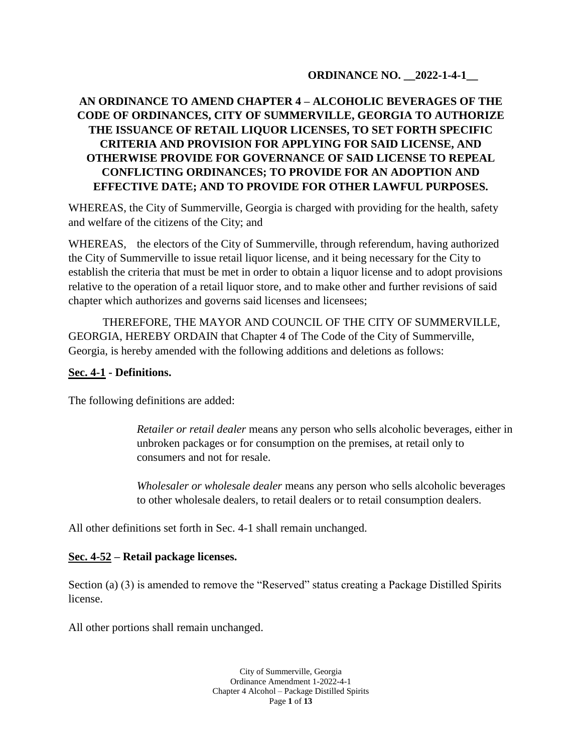## **ORDINANCE NO. \_\_2022-1-4-1\_\_**

# **AN ORDINANCE TO AMEND CHAPTER 4 – ALCOHOLIC BEVERAGES OF THE CODE OF ORDINANCES, CITY OF SUMMERVILLE, GEORGIA TO AUTHORIZE THE ISSUANCE OF RETAIL LIQUOR LICENSES, TO SET FORTH SPECIFIC CRITERIA AND PROVISION FOR APPLYING FOR SAID LICENSE, AND OTHERWISE PROVIDE FOR GOVERNANCE OF SAID LICENSE TO REPEAL CONFLICTING ORDINANCES; TO PROVIDE FOR AN ADOPTION AND EFFECTIVE DATE; AND TO PROVIDE FOR OTHER LAWFUL PURPOSES.**

WHEREAS, the City of Summerville, Georgia is charged with providing for the health, safety and welfare of the citizens of the City; and

WHEREAS, the electors of the City of Summerville, through referendum, having authorized the City of Summerville to issue retail liquor license, and it being necessary for the City to establish the criteria that must be met in order to obtain a liquor license and to adopt provisions relative to the operation of a retail liquor store, and to make other and further revisions of said chapter which authorizes and governs said licenses and licensees;

THEREFORE, THE MAYOR AND COUNCIL OF THE CITY OF SUMMERVILLE, GEORGIA, HEREBY ORDAIN that Chapter 4 of The Code of the City of Summerville, Georgia, is hereby amended with the following additions and deletions as follows:

### **Sec. 4-1 - Definitions.**

The following definitions are added:

*Retailer or retail dealer* means any person who sells alcoholic beverages, either in unbroken packages or for consumption on the premises, at retail only to consumers and not for resale.

*Wholesaler or wholesale dealer* means any person who sells alcoholic beverages to other wholesale dealers, to retail dealers or to retail consumption dealers.

All other definitions set forth in Sec. 4-1 shall remain unchanged.

## **Sec. 4-52 – Retail package licenses.**

Section (a) (3) is amended to remove the "Reserved" status creating a Package Distilled Spirits license.

All other portions shall remain unchanged.

City of Summerville, Georgia Ordinance Amendment 1-2022-4-1 Chapter 4 Alcohol – Package Distilled Spirits Page **1** of **13**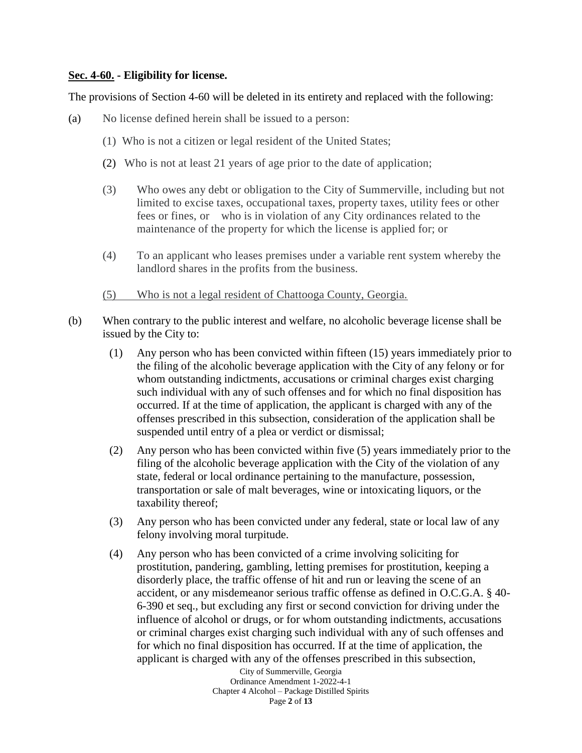#### **Sec. 4-60. - Eligibility for license.**

The provisions of Section 4-60 will be deleted in its entirety and replaced with the following:

- (a) No license defined herein shall be issued to a person:
	- (1) Who is not a citizen or legal resident of the United States;
	- (2) Who is not at least 21 years of age prior to the date of application;
	- (3) Who owes any debt or obligation to the City of Summerville, including but not limited to excise taxes, occupational taxes, property taxes, utility fees or other fees or fines, or who is in violation of any City ordinances related to the maintenance of the property for which the license is applied for; or
	- (4) To an applicant who leases premises under a variable rent system whereby the landlord shares in the profits from the business.
	- (5) Who is not a legal resident of Chattooga County, Georgia.
- (b) When contrary to the public interest and welfare, no alcoholic beverage license shall be issued by the City to:
	- (1) Any person who has been convicted within fifteen (15) years immediately prior to the filing of the alcoholic beverage application with the City of any felony or for whom outstanding indictments, accusations or criminal charges exist charging such individual with any of such offenses and for which no final disposition has occurred. If at the time of application, the applicant is charged with any of the offenses prescribed in this subsection, consideration of the application shall be suspended until entry of a plea or verdict or dismissal;
	- (2) Any person who has been convicted within five (5) years immediately prior to the filing of the alcoholic beverage application with the City of the violation of any state, federal or local ordinance pertaining to the manufacture, possession, transportation or sale of malt beverages, wine or intoxicating liquors, or the taxability thereof;
	- (3) Any person who has been convicted under any federal, state or local law of any felony involving moral turpitude.
	- (4) Any person who has been convicted of a crime involving soliciting for prostitution, pandering, gambling, letting premises for prostitution, keeping a disorderly place, the traffic offense of hit and run or leaving the scene of an accident, or any misdemeanor serious traffic offense as defined in O.C.G.A. § 40- 6-390 et seq., but excluding any first or second conviction for driving under the influence of alcohol or drugs, or for whom outstanding indictments, accusations or criminal charges exist charging such individual with any of such offenses and for which no final disposition has occurred. If at the time of application, the applicant is charged with any of the offenses prescribed in this subsection,

City of Summerville, Georgia Ordinance Amendment 1-2022-4-1 Chapter 4 Alcohol – Package Distilled Spirits Page **2** of **13**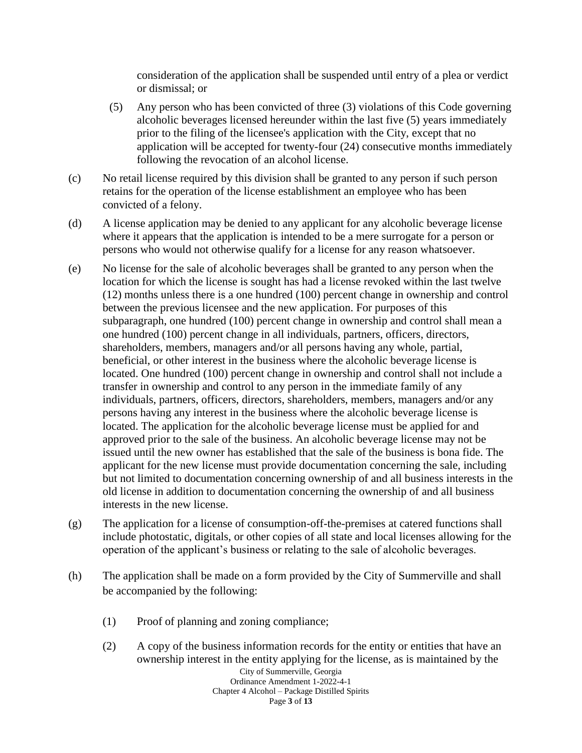consideration of the application shall be suspended until entry of a plea or verdict or dismissal; or

- (5) Any person who has been convicted of three (3) violations of this Code governing alcoholic beverages licensed hereunder within the last five (5) years immediately prior to the filing of the licensee's application with the City, except that no application will be accepted for twenty-four (24) consecutive months immediately following the revocation of an alcohol license.
- (c) No retail license required by this division shall be granted to any person if such person retains for the operation of the license establishment an employee who has been convicted of a felony.
- (d) A license application may be denied to any applicant for any alcoholic beverage license where it appears that the application is intended to be a mere surrogate for a person or persons who would not otherwise qualify for a license for any reason whatsoever.
- (e) No license for the sale of alcoholic beverages shall be granted to any person when the location for which the license is sought has had a license revoked within the last twelve (12) months unless there is a one hundred (100) percent change in ownership and control between the previous licensee and the new application. For purposes of this subparagraph, one hundred (100) percent change in ownership and control shall mean a one hundred (100) percent change in all individuals, partners, officers, directors, shareholders, members, managers and/or all persons having any whole, partial, beneficial, or other interest in the business where the alcoholic beverage license is located. One hundred (100) percent change in ownership and control shall not include a transfer in ownership and control to any person in the immediate family of any individuals, partners, officers, directors, shareholders, members, managers and/or any persons having any interest in the business where the alcoholic beverage license is located. The application for the alcoholic beverage license must be applied for and approved prior to the sale of the business. An alcoholic beverage license may not be issued until the new owner has established that the sale of the business is bona fide. The applicant for the new license must provide documentation concerning the sale, including but not limited to documentation concerning ownership of and all business interests in the old license in addition to documentation concerning the ownership of and all business interests in the new license.
- (g) The application for a license of consumption-off-the-premises at catered functions shall include photostatic, digitals, or other copies of all state and local licenses allowing for the operation of the applicant's business or relating to the sale of alcoholic beverages.
- (h) The application shall be made on a form provided by the City of Summerville and shall be accompanied by the following:
	- (1) Proof of planning and zoning compliance;
	- City of Summerville, Georgia Ordinance Amendment 1-2022-4-1 Chapter 4 Alcohol – Package Distilled Spirits Page **3** of **13** (2) A copy of the business information records for the entity or entities that have an ownership interest in the entity applying for the license, as is maintained by the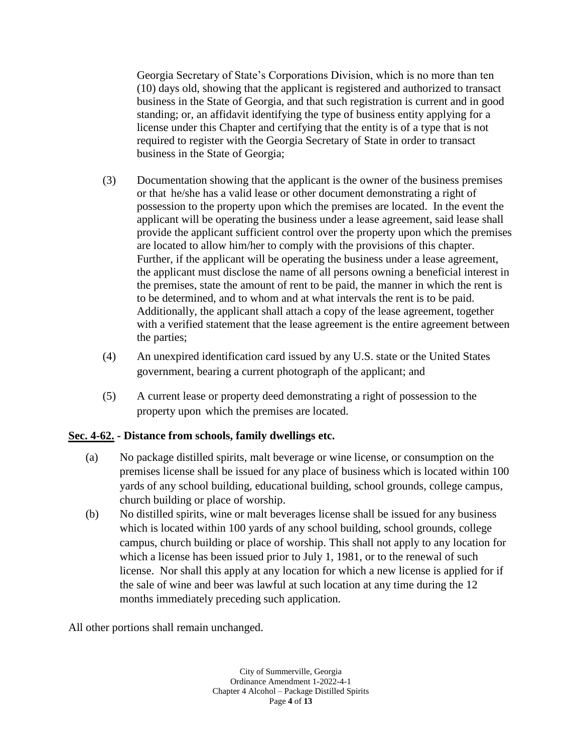Georgia Secretary of State's Corporations Division, which is no more than ten (10) days old, showing that the applicant is registered and authorized to transact business in the State of Georgia, and that such registration is current and in good standing; or, an affidavit identifying the type of business entity applying for a license under this Chapter and certifying that the entity is of a type that is not required to register with the Georgia Secretary of State in order to transact business in the State of Georgia;

- (3) Documentation showing that the applicant is the owner of the business premises or that he/she has a valid lease or other document demonstrating a right of possession to the property upon which the premises are located. In the event the applicant will be operating the business under a lease agreement, said lease shall provide the applicant sufficient control over the property upon which the premises are located to allow him/her to comply with the provisions of this chapter. Further, if the applicant will be operating the business under a lease agreement, the applicant must disclose the name of all persons owning a beneficial interest in the premises, state the amount of rent to be paid, the manner in which the rent is to be determined, and to whom and at what intervals the rent is to be paid. Additionally, the applicant shall attach a copy of the lease agreement, together with a verified statement that the lease agreement is the entire agreement between the parties;
- (4) An unexpired identification card issued by any U.S. state or the United States government, bearing a current photograph of the applicant; and
- (5) A current lease or property deed demonstrating a right of possession to the property upon which the premises are located.

# **Sec. 4-62. - Distance from schools, family dwellings etc.**

- (a) No package distilled spirits, malt beverage or wine license, or consumption on the premises license shall be issued for any place of business which is located within 100 yards of any school building, educational building, school grounds, college campus, church building or place of worship.
- (b) No distilled spirits, wine or malt beverages license shall be issued for any business which is located within 100 yards of any school building, school grounds, college campus, church building or place of worship. This shall not apply to any location for which a license has been issued prior to July 1, 1981, or to the renewal of such license. Nor shall this apply at any location for which a new license is applied for if the sale of wine and beer was lawful at such location at any time during the 12 months immediately preceding such application.

All other portions shall remain unchanged.

City of Summerville, Georgia Ordinance Amendment 1-2022-4-1 Chapter 4 Alcohol – Package Distilled Spirits Page **4** of **13**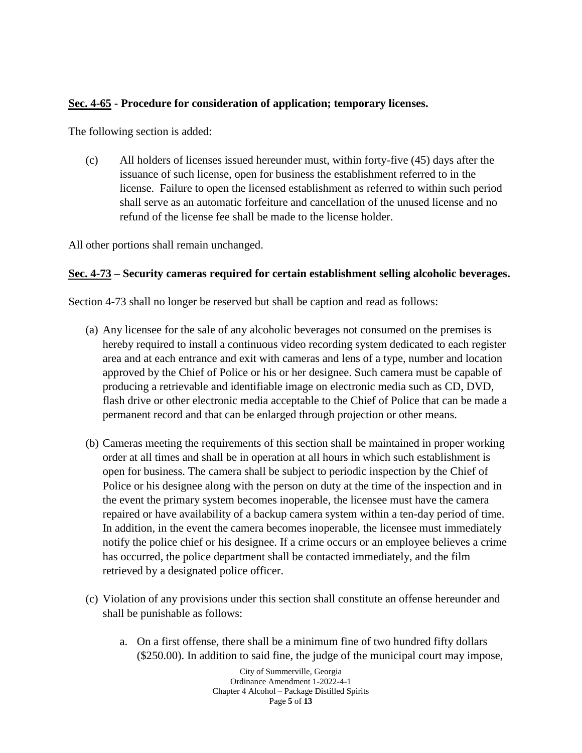## **Sec. 4-65 - Procedure for consideration of application; temporary licenses.**

The following section is added:

(c) All holders of licenses issued hereunder must, within forty-five (45) days after the issuance of such license, open for business the establishment referred to in the license. Failure to open the licensed establishment as referred to within such period shall serve as an automatic forfeiture and cancellation of the unused license and no refund of the license fee shall be made to the license holder.

All other portions shall remain unchanged.

### **Sec. 4-73 – Security cameras required for certain establishment selling alcoholic beverages.**

Section 4-73 shall no longer be reserved but shall be caption and read as follows:

- (a) Any licensee for the sale of any alcoholic beverages not consumed on the premises is hereby required to install a continuous video recording system dedicated to each register area and at each entrance and exit with cameras and lens of a type, number and location approved by the Chief of Police or his or her designee. Such camera must be capable of producing a retrievable and identifiable image on electronic media such as CD, DVD, flash drive or other electronic media acceptable to the Chief of Police that can be made a permanent record and that can be enlarged through projection or other means.
- (b) Cameras meeting the requirements of this section shall be maintained in proper working order at all times and shall be in operation at all hours in which such establishment is open for business. The camera shall be subject to periodic inspection by the Chief of Police or his designee along with the person on duty at the time of the inspection and in the event the primary system becomes inoperable, the licensee must have the camera repaired or have availability of a backup camera system within a ten-day period of time. In addition, in the event the camera becomes inoperable, the licensee must immediately notify the police chief or his designee. If a crime occurs or an employee believes a crime has occurred, the police department shall be contacted immediately, and the film retrieved by a designated police officer.
- (c) Violation of any provisions under this section shall constitute an offense hereunder and shall be punishable as follows:
	- a. On a first offense, there shall be a minimum fine of two hundred fifty dollars (\$250.00). In addition to said fine, the judge of the municipal court may impose,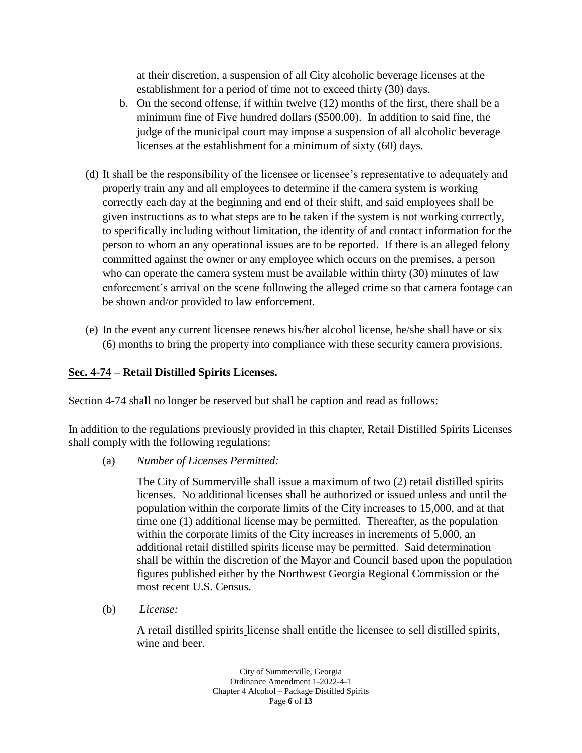at their discretion, a suspension of all City alcoholic beverage licenses at the establishment for a period of time not to exceed thirty (30) days.

- b. On the second offense, if within twelve (12) months of the first, there shall be a minimum fine of Five hundred dollars (\$500.00). In addition to said fine, the judge of the municipal court may impose a suspension of all alcoholic beverage licenses at the establishment for a minimum of sixty (60) days.
- (d) It shall be the responsibility of the licensee or licensee's representative to adequately and properly train any and all employees to determine if the camera system is working correctly each day at the beginning and end of their shift, and said employees shall be given instructions as to what steps are to be taken if the system is not working correctly, to specifically including without limitation, the identity of and contact information for the person to whom an any operational issues are to be reported. If there is an alleged felony committed against the owner or any employee which occurs on the premises, a person who can operate the camera system must be available within thirty (30) minutes of law enforcement's arrival on the scene following the alleged crime so that camera footage can be shown and/or provided to law enforcement.
- (e) In the event any current licensee renews his/her alcohol license, he/she shall have or six (6) months to bring the property into compliance with these security camera provisions.

# **Sec. 4-74 – Retail Distilled Spirits Licenses.**

Section 4-74 shall no longer be reserved but shall be caption and read as follows:

In addition to the regulations previously provided in this chapter, Retail Distilled Spirits Licenses shall comply with the following regulations:

(a) *Number of Licenses Permitted:*

The City of Summerville shall issue a maximum of two (2) retail distilled spirits licenses. No additional licenses shall be authorized or issued unless and until the population within the corporate limits of the City increases to 15,000, and at that time one (1) additional license may be permitted. Thereafter, as the population within the corporate limits of the City increases in increments of 5,000, an additional retail distilled spirits license may be permitted. Said determination shall be within the discretion of the Mayor and Council based upon the population figures published either by the Northwest Georgia Regional Commission or the most recent U.S. Census.

(b) *License:*

A retail distilled spirits license shall entitle the licensee to sell distilled spirits, wine and beer.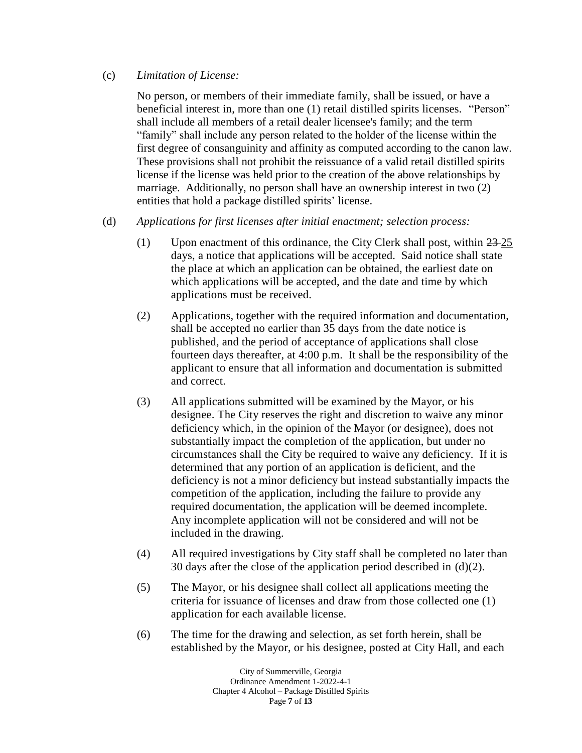### (c) *Limitation of License:*

No person, or members of their immediate family, shall be issued, or have a beneficial interest in, more than one (1) retail distilled spirits licenses. "Person" shall include all members of a retail dealer licensee's family; and the term "family" shall include any person related to the holder of the license within the first degree of consanguinity and affinity as computed according to the canon law. These provisions shall not prohibit the reissuance of a valid retail distilled spirits license if the license was held prior to the creation of the above relationships by marriage. Additionally, no person shall have an ownership interest in two (2) entities that hold a package distilled spirits' license.

## (d) *Applications for first licenses after initial enactment; selection process:*

- (1) Upon enactment of this ordinance, the City Clerk shall post, within 23 25 days, a notice that applications will be accepted. Said notice shall state the place at which an application can be obtained, the earliest date on which applications will be accepted, and the date and time by which applications must be received.
- (2) Applications, together with the required information and documentation, shall be accepted no earlier than 35 days from the date notice is published, and the period of acceptance of applications shall close fourteen days thereafter, at 4:00 p.m. It shall be the responsibility of the applicant to ensure that all information and documentation is submitted and correct.
- (3) All applications submitted will be examined by the Mayor, or his designee. The City reserves the right and discretion to waive any minor deficiency which, in the opinion of the Mayor (or designee), does not substantially impact the completion of the application, but under no circumstances shall the City be required to waive any deficiency. If it is determined that any portion of an application is deficient, and the deficiency is not a minor deficiency but instead substantially impacts the competition of the application, including the failure to provide any required documentation, the application will be deemed incomplete. Any incomplete application will not be considered and will not be included in the drawing.
- (4) All required investigations by City staff shall be completed no later than 30 days after the close of the application period described in  $(d)(2)$ .
- (5) The Mayor, or his designee shall collect all applications meeting the criteria for issuance of licenses and draw from those collected one (1) application for each available license.
- (6) The time for the drawing and selection, as set forth herein, shall be established by the Mayor, or his designee, posted at City Hall, and each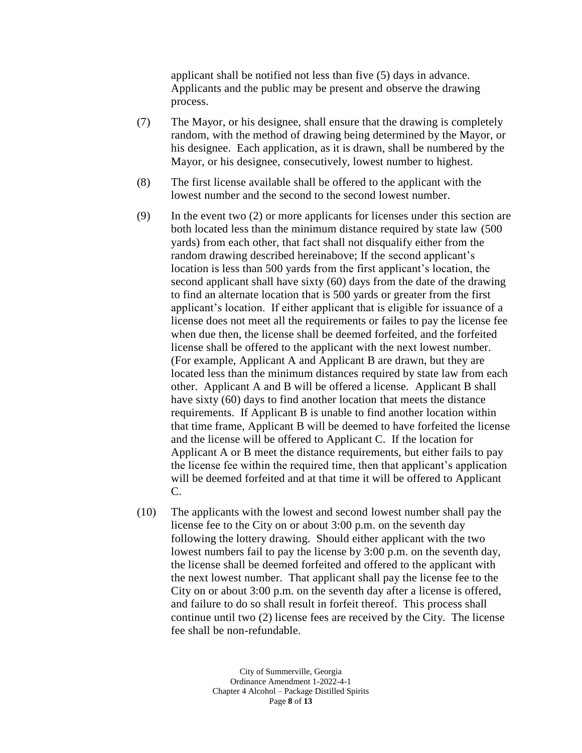applicant shall be notified not less than five (5) days in advance. Applicants and the public may be present and observe the drawing process.

- (7) The Mayor, or his designee, shall ensure that the drawing is completely random, with the method of drawing being determined by the Mayor, or his designee. Each application, as it is drawn, shall be numbered by the Mayor, or his designee, consecutively, lowest number to highest.
- (8) The first license available shall be offered to the applicant with the lowest number and the second to the second lowest number.
- (9) In the event two (2) or more applicants for licenses under this section are both located less than the minimum distance required by state law (500 yards) from each other, that fact shall not disqualify either from the random drawing described hereinabove; If the second applicant's location is less than 500 yards from the first applicant's location, the second applicant shall have sixty (60) days from the date of the drawing to find an alternate location that is 500 yards or greater from the first applicant's location. If either applicant that is eligible for issuance of a license does not meet all the requirements or failes to pay the license fee when due then, the license shall be deemed forfeited, and the forfeited license shall be offered to the applicant with the next lowest number. (For example, Applicant A and Applicant B are drawn, but they are located less than the minimum distances required by state law from each other. Applicant A and B will be offered a license. Applicant B shall have sixty (60) days to find another location that meets the distance requirements. If Applicant B is unable to find another location within that time frame, Applicant B will be deemed to have forfeited the license and the license will be offered to Applicant C. If the location for Applicant A or B meet the distance requirements, but either fails to pay the license fee within the required time, then that applicant's application will be deemed forfeited and at that time it will be offered to Applicant C.
- (10) The applicants with the lowest and second lowest number shall pay the license fee to the City on or about 3:00 p.m. on the seventh day following the lottery drawing. Should either applicant with the two lowest numbers fail to pay the license by 3:00 p.m. on the seventh day, the license shall be deemed forfeited and offered to the applicant with the next lowest number. That applicant shall pay the license fee to the City on or about 3:00 p.m. on the seventh day after a license is offered, and failure to do so shall result in forfeit thereof. This process shall continue until two (2) license fees are received by the City. The license fee shall be non-refundable.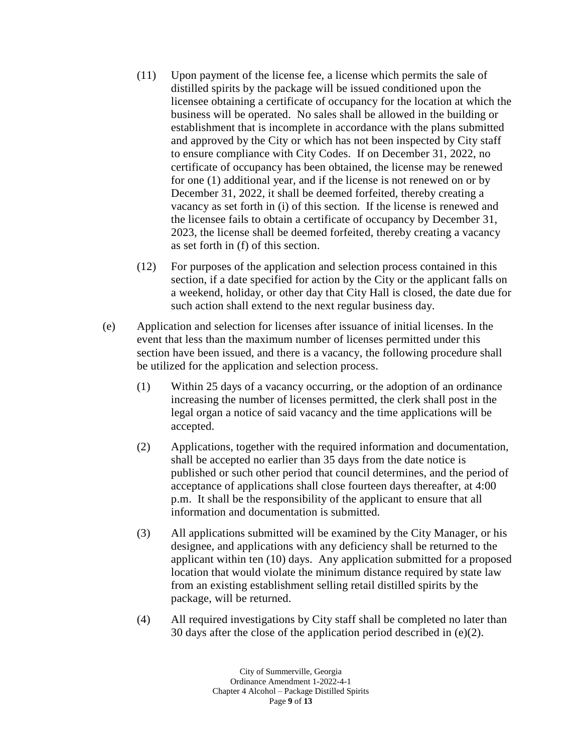- (11) Upon payment of the license fee, a license which permits the sale of distilled spirits by the package will be issued conditioned upon the licensee obtaining a certificate of occupancy for the location at which the business will be operated. No sales shall be allowed in the building or establishment that is incomplete in accordance with the plans submitted and approved by the City or which has not been inspected by City staff to ensure compliance with City Codes. If on December 31, 2022, no certificate of occupancy has been obtained, the license may be renewed for one (1) additional year, and if the license is not renewed on or by December 31, 2022, it shall be deemed forfeited, thereby creating a vacancy as set forth in (i) of this section. If the license is renewed and the licensee fails to obtain a certificate of occupancy by December 31, 2023, the license shall be deemed forfeited, thereby creating a vacancy as set forth in (f) of this section.
- (12) For purposes of the application and selection process contained in this section, if a date specified for action by the City or the applicant falls on a weekend, holiday, or other day that City Hall is closed, the date due for such action shall extend to the next regular business day.
- (e) Application and selection for licenses after issuance of initial licenses. In the event that less than the maximum number of licenses permitted under this section have been issued, and there is a vacancy, the following procedure shall be utilized for the application and selection process.
	- (1) Within 25 days of a vacancy occurring, or the adoption of an ordinance increasing the number of licenses permitted, the clerk shall post in the legal organ a notice of said vacancy and the time applications will be accepted.
	- (2) Applications, together with the required information and documentation, shall be accepted no earlier than 35 days from the date notice is published or such other period that council determines, and the period of acceptance of applications shall close fourteen days thereafter, at 4:00 p.m. It shall be the responsibility of the applicant to ensure that all information and documentation is submitted.
	- (3) All applications submitted will be examined by the City Manager, or his designee, and applications with any deficiency shall be returned to the applicant within ten (10) days. Any application submitted for a proposed location that would violate the minimum distance required by state law from an existing establishment selling retail distilled spirits by the package, will be returned.
	- (4) All required investigations by City staff shall be completed no later than 30 days after the close of the application period described in (e)(2).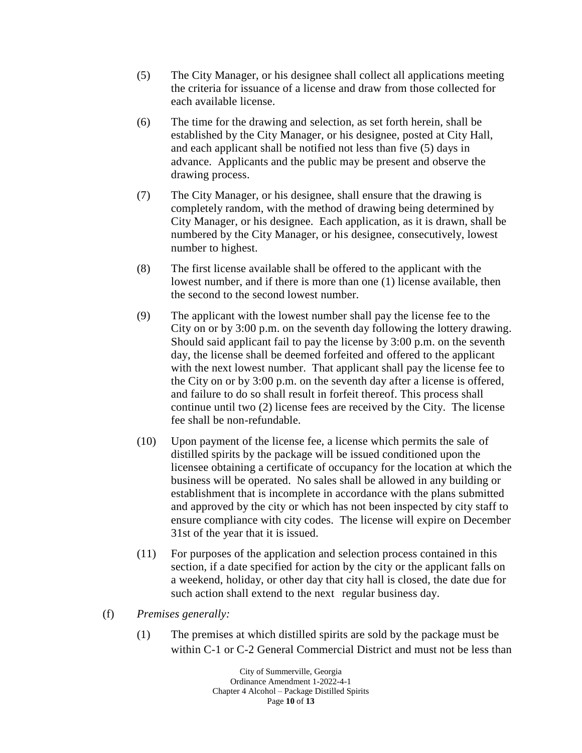- (5) The City Manager, or his designee shall collect all applications meeting the criteria for issuance of a license and draw from those collected for each available license.
- (6) The time for the drawing and selection, as set forth herein, shall be established by the City Manager, or his designee, posted at City Hall, and each applicant shall be notified not less than five (5) days in advance. Applicants and the public may be present and observe the drawing process.
- (7) The City Manager, or his designee, shall ensure that the drawing is completely random, with the method of drawing being determined by City Manager, or his designee. Each application, as it is drawn, shall be numbered by the City Manager, or his designee, consecutively, lowest number to highest.
- (8) The first license available shall be offered to the applicant with the lowest number, and if there is more than one (1) license available, then the second to the second lowest number.
- (9) The applicant with the lowest number shall pay the license fee to the City on or by 3:00 p.m. on the seventh day following the lottery drawing. Should said applicant fail to pay the license by 3:00 p.m. on the seventh day, the license shall be deemed forfeited and offered to the applicant with the next lowest number. That applicant shall pay the license fee to the City on or by 3:00 p.m. on the seventh day after a license is offered, and failure to do so shall result in forfeit thereof. This process shall continue until two (2) license fees are received by the City. The license fee shall be non-refundable.
- (10) Upon payment of the license fee, a license which permits the sale of distilled spirits by the package will be issued conditioned upon the licensee obtaining a certificate of occupancy for the location at which the business will be operated. No sales shall be allowed in any building or establishment that is incomplete in accordance with the plans submitted and approved by the city or which has not been inspected by city staff to ensure compliance with city codes. The license will expire on December 31st of the year that it is issued.
- (11) For purposes of the application and selection process contained in this section, if a date specified for action by the city or the applicant falls on a weekend, holiday, or other day that city hall is closed, the date due for such action shall extend to the next regular business day.
- (f) *Premises generally:*
	- (1) The premises at which distilled spirits are sold by the package must be within C-1 or C-2 General Commercial District and must not be less than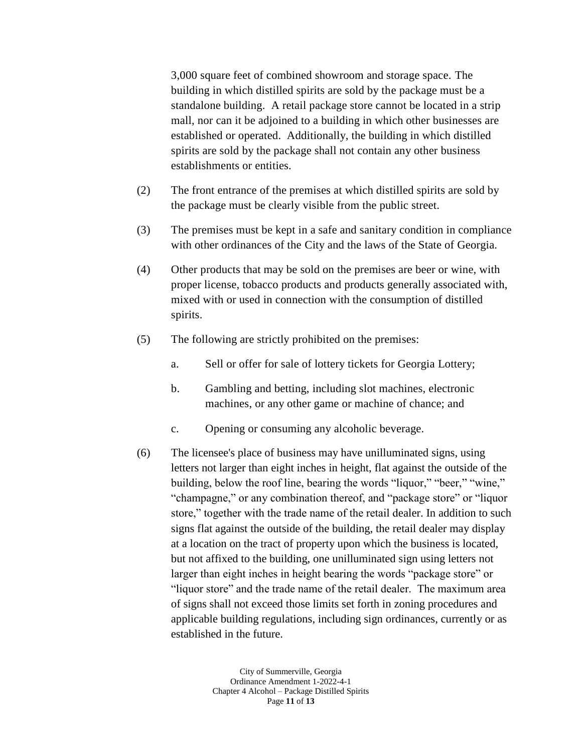3,000 square feet of combined showroom and storage space. The building in which distilled spirits are sold by the package must be a standalone building. A retail package store cannot be located in a strip mall, nor can it be adjoined to a building in which other businesses are established or operated. Additionally, the building in which distilled spirits are sold by the package shall not contain any other business establishments or entities.

- (2) The front entrance of the premises at which distilled spirits are sold by the package must be clearly visible from the public street.
- (3) The premises must be kept in a safe and sanitary condition in compliance with other ordinances of the City and the laws of the State of Georgia.
- (4) Other products that may be sold on the premises are beer or wine, with proper license, tobacco products and products generally associated with, mixed with or used in connection with the consumption of distilled spirits.
- (5) The following are strictly prohibited on the premises:
	- a. Sell or offer for sale of lottery tickets for Georgia Lottery;
	- b. Gambling and betting, including slot machines, electronic machines, or any other game or machine of chance; and
	- c. Opening or consuming any alcoholic beverage.
- (6) The licensee's place of business may have unilluminated signs, using letters not larger than eight inches in height, flat against the outside of the building, below the roof line, bearing the words "liquor," "beer," "wine," "champagne," or any combination thereof, and "package store" or "liquor store," together with the trade name of the retail dealer. In addition to such signs flat against the outside of the building, the retail dealer may display at a location on the tract of property upon which the business is located, but not affixed to the building, one unilluminated sign using letters not larger than eight inches in height bearing the words "package store" or "liquor store" and the trade name of the retail dealer. The maximum area of signs shall not exceed those limits set forth in zoning procedures and applicable building regulations, including sign ordinances, currently or as established in the future.

City of Summerville, Georgia Ordinance Amendment 1-2022-4-1 Chapter 4 Alcohol – Package Distilled Spirits Page **11** of **13**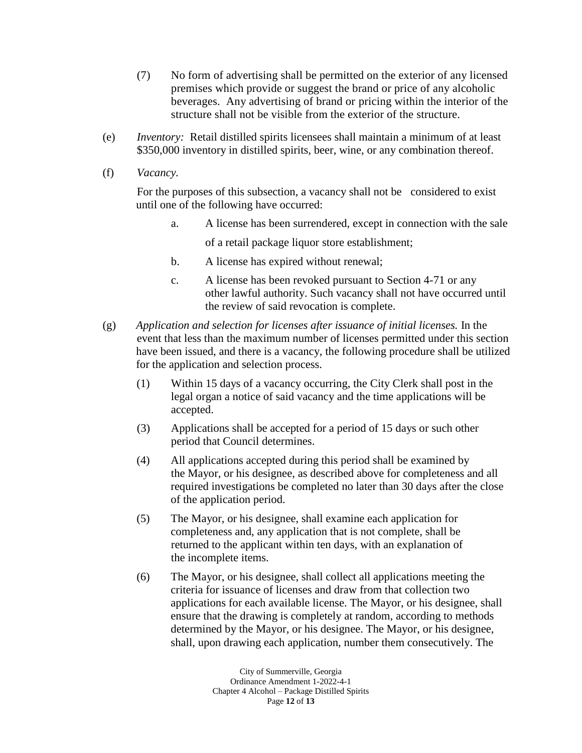- (7) No form of advertising shall be permitted on the exterior of any licensed premises which provide or suggest the brand or price of any alcoholic beverages. Any advertising of brand or pricing within the interior of the structure shall not be visible from the exterior of the structure.
- (e) *Inventory:* Retail distilled spirits licensees shall maintain a minimum of at least \$350,000 inventory in distilled spirits, beer, wine, or any combination thereof.
- (f) *Vacancy.*

For the purposes of this subsection, a vacancy shall not be considered to exist until one of the following have occurred:

- a. A license has been surrendered, except in connection with the sale of a retail package liquor store establishment;
- b. A license has expired without renewal;
- c. A license has been revoked pursuant to Section 4-71 or any other lawful authority. Such vacancy shall not have occurred until the review of said revocation is complete.
- (g) *Application and selection for licenses after issuance of initial licenses.* In the event that less than the maximum number of licenses permitted under this section have been issued, and there is a vacancy, the following procedure shall be utilized for the application and selection process.
	- (1) Within 15 days of a vacancy occurring, the City Clerk shall post in the legal organ a notice of said vacancy and the time applications will be accepted.
	- (3) Applications shall be accepted for a period of 15 days or such other period that Council determines.
	- (4) All applications accepted during this period shall be examined by the Mayor, or his designee, as described above for completeness and all required investigations be completed no later than 30 days after the close of the application period.
	- (5) The Mayor, or his designee, shall examine each application for completeness and, any application that is not complete, shall be returned to the applicant within ten days, with an explanation of the incomplete items.
	- (6) The Mayor, or his designee, shall collect all applications meeting the criteria for issuance of licenses and draw from that collection two applications for each available license. The Mayor, or his designee, shall ensure that the drawing is completely at random, according to methods determined by the Mayor, or his designee. The Mayor, or his designee, shall, upon drawing each application, number them consecutively. The